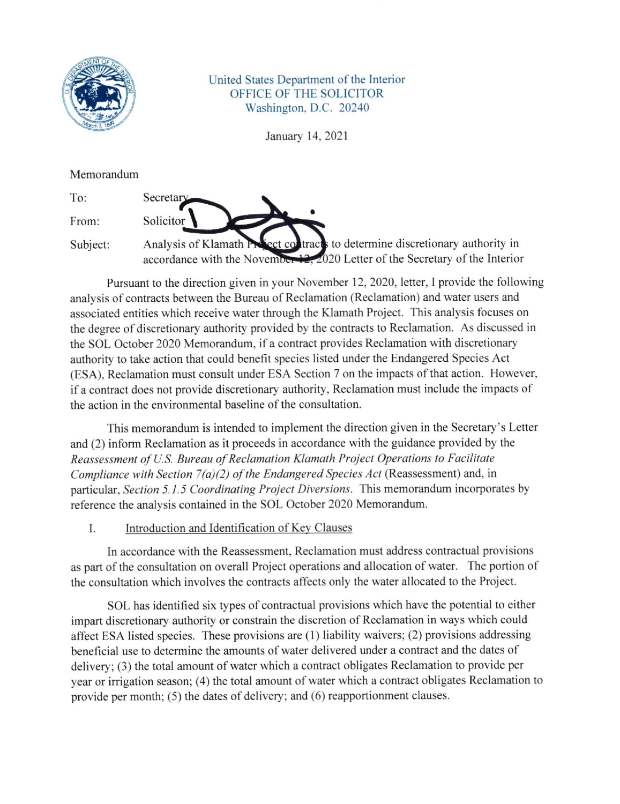

United States Department of the Interior OFFICE OF THE SOLICITOR Washington. D.C. 20240

January 14,2021

Memorandum

To:

Solicitor

**Secretary** 

From:

Subject: Analvsis of Klamath accordance with the November 12, 2020 Letter of the Secretary of the Interior tracts to determine discretionary authority in

a

Pursuant to the direction given in your November 12, 2020, letter, I provide the following analysis of contracts between the Bureau of Reclamation (Reclamation) and water users and associated entities which receive water through the Klamath Project. This analysis focuses on the degree of discretionary authority provided by the contracts to Reclamation. As discussed in the SOL October 2020 Memorandum, if a contract provides Reclamation with discretionary authority to take action that could benefit species listed under the Endangered Species Acl (ESA). Reclamation must consult under ESA Section 7 on the impacts of that action. However, if a contract does not provide discretionary authority, Reclamation must include the impacts of the action in the environmental baseline of the consultation.

This memorandum is intended to implement the direction given in the Secretary's Letter and (2) inform Reclamation as it proceeds in accordance with the guidance provided by the Reassessment of U.S. Bureau of Reclamation Klamath Project Operations to Facilitate Compliance with Section  $7(a)(2)$  of the Endangered Species Act (Reassessment) and, in particular, Section 5.1.5 Coordinating Project Diversions. This memorandum incorporates by reference the analysis contained in the SOL October 2020 Memorandum.

Introduction and Identification of Kev Clauses I.

In accordance with the Reassessment, Reclamation must address contractual provisions as part of the consultation on overall Project operations and allocation of water. The portion of the consultation which involves the contracts affects only the water allocated to the Project.

SOL has identified six types of contractual provisions which have the potential to either impart discretionary authority or constrain the discretion of Reclamation in ways which could affect ESA listed species. These provisions are  $(1)$  liability waivers;  $(2)$  provisions addressing beneficial use to determine the amounts of water delivered under a contract and the dates of delivery; (3) the total amount of water which a contract obligates Reclamation to provide per year or irrigation season; (4) the total amount of water which a contract obligates Reclamation to provide per month; (5) the dates of delivery; and (6) reapportionment clauses.